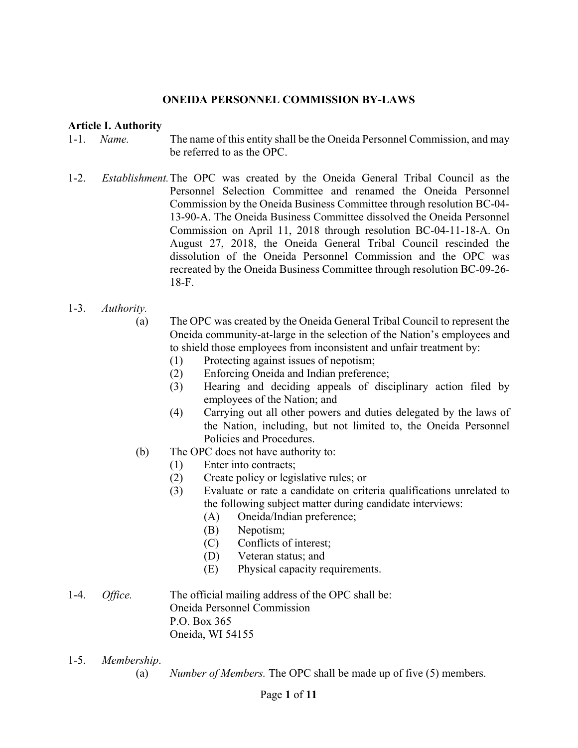#### **ONEIDA PERSONNEL COMMISSION BY-LAWS**

#### **Article I. Authority**

- 1-1. *Name.* The name of this entity shall be the Oneida Personnel Commission, and may be referred to as the OPC.
- 1-2. *Establishment.* The OPC was created by the Oneida General Tribal Council as the Personnel Selection Committee and renamed the Oneida Personnel Commission by the Oneida Business Committee through resolution BC-04- 13-90-A. The Oneida Business Committee dissolved the Oneida Personnel Commission on April 11, 2018 through resolution BC-04-11-18-A. On August 27, 2018, the Oneida General Tribal Council rescinded the dissolution of the Oneida Personnel Commission and the OPC was recreated by the Oneida Business Committee through resolution BC-09-26- 18-F.
- 1-3. *Authority.* 
	- (a) The OPC was created by the Oneida General Tribal Council to represent the Oneida community-at-large in the selection of the Nation's employees and to shield those employees from inconsistent and unfair treatment by:
		- (1) Protecting against issues of nepotism;
		- (2) Enforcing Oneida and Indian preference;
		- (3) Hearing and deciding appeals of disciplinary action filed by employees of the Nation; and
		- (4) Carrying out all other powers and duties delegated by the laws of the Nation, including, but not limited to, the Oneida Personnel Policies and Procedures.
	- (b) The OPC does not have authority to:
		- (1) Enter into contracts;
		- (2) Create policy or legislative rules; or
		- (3) Evaluate or rate a candidate on criteria qualifications unrelated to the following subject matter during candidate interviews:
			- (A) Oneida/Indian preference;
			- (B) Nepotism;
			- (C) Conflicts of interest;
			- (D) Veteran status; and
			- (E) Physical capacity requirements.
- 1-4. *Office.* The official mailing address of the OPC shall be: Oneida Personnel Commission P.O. Box 365 Oneida, WI 54155
- 1-5. *Membership*.
	- (a) *Number of Members.* The OPC shall be made up of five (5) members.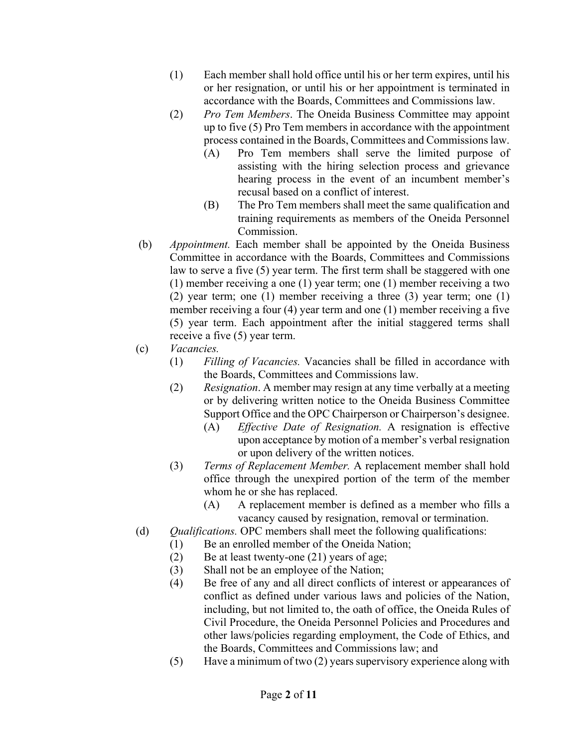- (1) Each member shall hold office until his or her term expires, until his or her resignation, or until his or her appointment is terminated in accordance with the Boards, Committees and Commissions law.
- (2) *Pro Tem Members*. The Oneida Business Committee may appoint up to five (5) Pro Tem members in accordance with the appointment process contained in the Boards, Committees and Commissions law.
	- (A) Pro Tem members shall serve the limited purpose of assisting with the hiring selection process and grievance hearing process in the event of an incumbent member's recusal based on a conflict of interest.
	- (B) The Pro Tem members shall meet the same qualification and training requirements as members of the Oneida Personnel Commission.
- (b) *Appointment.* Each member shall be appointed by the Oneida Business Committee in accordance with the Boards, Committees and Commissions law to serve a five (5) year term. The first term shall be staggered with one (1) member receiving a one (1) year term; one (1) member receiving a two (2) year term; one (1) member receiving a three (3) year term; one (1) member receiving a four (4) year term and one (1) member receiving a five (5) year term. Each appointment after the initial staggered terms shall receive a five (5) year term.
- (c) *Vacancies.*
	- (1) *Filling of Vacancies.* Vacancies shall be filled in accordance with the Boards, Committees and Commissions law.
	- (2) *Resignation*. A member may resign at any time verbally at a meeting or by delivering written notice to the Oneida Business Committee Support Office and the OPC Chairperson or Chairperson's designee.
		- (A) *Effective Date of Resignation.* A resignation is effective upon acceptance by motion of a member's verbal resignation or upon delivery of the written notices.
	- (3) *Terms of Replacement Member.* A replacement member shall hold office through the unexpired portion of the term of the member whom he or she has replaced.
		- (A) A replacement member is defined as a member who fills a vacancy caused by resignation, removal or termination.
- (d) *Qualifications.* OPC members shall meet the following qualifications:
	- (1) Be an enrolled member of the Oneida Nation;
	- (2) Be at least twenty-one (21) years of age;
	- (3) Shall not be an employee of the Nation;
	- (4) Be free of any and all direct conflicts of interest or appearances of conflict as defined under various laws and policies of the Nation, including, but not limited to, the oath of office, the Oneida Rules of Civil Procedure, the Oneida Personnel Policies and Procedures and other laws/policies regarding employment, the Code of Ethics, and the Boards, Committees and Commissions law; and
	- (5) Have a minimum of two (2) years supervisory experience along with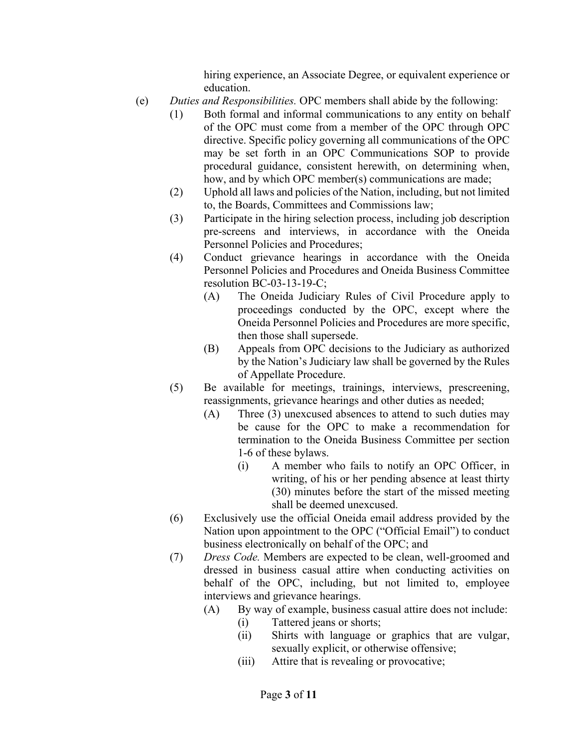hiring experience, an Associate Degree, or equivalent experience or education.

- (e) *Duties and Responsibilities.* OPC members shall abide by the following:
	- (1) Both formal and informal communications to any entity on behalf of the OPC must come from a member of the OPC through OPC directive. Specific policy governing all communications of the OPC may be set forth in an OPC Communications SOP to provide procedural guidance, consistent herewith, on determining when, how, and by which OPC member(s) communications are made;
	- (2) Uphold all laws and policies of the Nation, including, but not limited to, the Boards, Committees and Commissions law;
	- (3) Participate in the hiring selection process, including job description pre-screens and interviews, in accordance with the Oneida Personnel Policies and Procedures;
	- (4) Conduct grievance hearings in accordance with the Oneida Personnel Policies and Procedures and Oneida Business Committee resolution BC-03-13-19-C;
		- (A) The Oneida Judiciary Rules of Civil Procedure apply to proceedings conducted by the OPC, except where the Oneida Personnel Policies and Procedures are more specific, then those shall supersede.
		- (B) Appeals from OPC decisions to the Judiciary as authorized by the Nation's Judiciary law shall be governed by the Rules of Appellate Procedure.
	- (5) Be available for meetings, trainings, interviews, prescreening, reassignments, grievance hearings and other duties as needed;
		- (A) Three (3) unexcused absences to attend to such duties may be cause for the OPC to make a recommendation for termination to the Oneida Business Committee per section 1-6 of these bylaws.
			- (i) A member who fails to notify an OPC Officer, in writing, of his or her pending absence at least thirty (30) minutes before the start of the missed meeting shall be deemed unexcused.
	- (6) Exclusively use the official Oneida email address provided by the Nation upon appointment to the OPC ("Official Email") to conduct business electronically on behalf of the OPC; and
	- (7) *Dress Code.* Members are expected to be clean, well-groomed and dressed in business casual attire when conducting activities on behalf of the OPC, including, but not limited to, employee interviews and grievance hearings.
		- (A) By way of example, business casual attire does not include:
			- (i) Tattered jeans or shorts;
			- (ii) Shirts with language or graphics that are vulgar, sexually explicit, or otherwise offensive;
			- (iii) Attire that is revealing or provocative;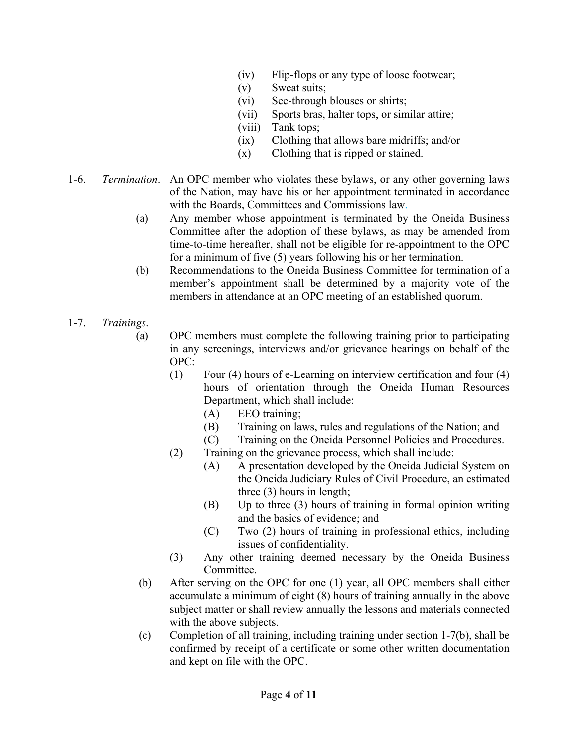- (iv) Flip-flops or any type of loose footwear;
- (v) Sweat suits;
- (vi) See-through blouses or shirts;
- (vii) Sports bras, halter tops, or similar attire;
- (viii) Tank tops;
- (ix) Clothing that allows bare midriffs; and/or
- (x) Clothing that is ripped or stained.
- 1-6. *Termination*. An OPC member who violates these bylaws, or any other governing laws of the Nation, may have his or her appointment terminated in accordance with the Boards, Committees and Commissions law.
	- (a) Any member whose appointment is terminated by the Oneida Business Committee after the adoption of these bylaws, as may be amended from time-to-time hereafter, shall not be eligible for re-appointment to the OPC for a minimum of five (5) years following his or her termination.
	- (b) Recommendations to the Oneida Business Committee for termination of a member's appointment shall be determined by a majority vote of the members in attendance at an OPC meeting of an established quorum.
- 1-7. *Trainings*.
	- (a) OPC members must complete the following training prior to participating in any screenings, interviews and/or grievance hearings on behalf of the OPC:
		- (1) Four (4) hours of e-Learning on interview certification and four (4) hours of orientation through the Oneida Human Resources Department, which shall include:
			- (A) EEO training;
			- (B) Training on laws, rules and regulations of the Nation; and
			- (C) Training on the Oneida Personnel Policies and Procedures.
		- (2) Training on the grievance process, which shall include:
			- (A) A presentation developed by the Oneida Judicial System on the Oneida Judiciary Rules of Civil Procedure, an estimated three (3) hours in length;
			- (B) Up to three (3) hours of training in formal opinion writing and the basics of evidence; and
			- (C) Two (2) hours of training in professional ethics, including issues of confidentiality.
		- (3) Any other training deemed necessary by the Oneida Business Committee.
	- (b) After serving on the OPC for one (1) year, all OPC members shall either accumulate a minimum of eight (8) hours of training annually in the above subject matter or shall review annually the lessons and materials connected with the above subjects.
	- (c) Completion of all training, including training under section 1-7(b), shall be confirmed by receipt of a certificate or some other written documentation and kept on file with the OPC.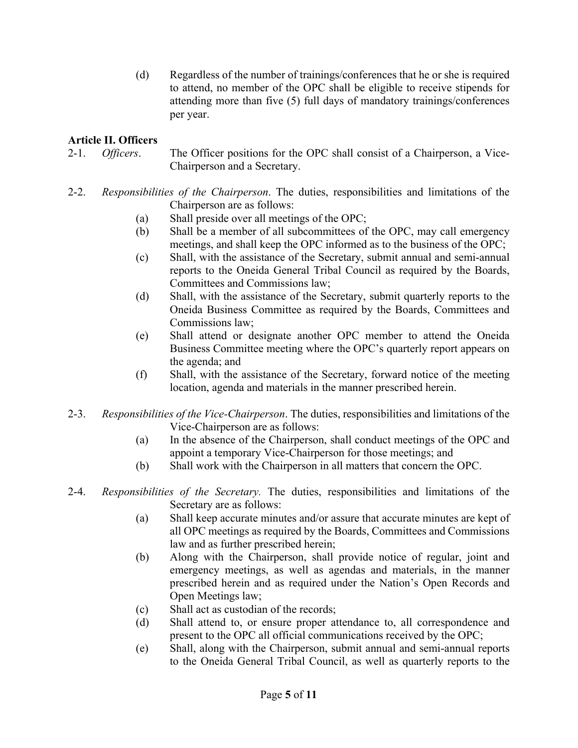(d) Regardless of the number of trainings/conferences that he or she is required to attend, no member of the OPC shall be eligible to receive stipends for attending more than five (5) full days of mandatory trainings/conferences per year.

## **Article II. Officers**

- 2-1. *Officers*. The Officer positions for the OPC shall consist of a Chairperson, a Vice- Chairperson and a Secretary.
- 2-2. *Responsibilities of the Chairperson*. The duties, responsibilities and limitations of the Chairperson are as follows:
	- (a) Shall preside over all meetings of the OPC;
	- (b) Shall be a member of all subcommittees of the OPC, may call emergency meetings, and shall keep the OPC informed as to the business of the OPC;
	- (c) Shall, with the assistance of the Secretary, submit annual and semi-annual reports to the Oneida General Tribal Council as required by the Boards, Committees and Commissions law;
	- (d) Shall, with the assistance of the Secretary, submit quarterly reports to the Oneida Business Committee as required by the Boards, Committees and Commissions law;
	- (e) Shall attend or designate another OPC member to attend the Oneida Business Committee meeting where the OPC's quarterly report appears on the agenda; and
	- (f) Shall, with the assistance of the Secretary, forward notice of the meeting location, agenda and materials in the manner prescribed herein.
- 2-3. *Responsibilities of the Vice-Chairperson*. The duties, responsibilities and limitations of the Vice-Chairperson are as follows:
	- (a) In the absence of the Chairperson, shall conduct meetings of the OPC and appoint a temporary Vice-Chairperson for those meetings; and
	- (b) Shall work with the Chairperson in all matters that concern the OPC.
- 2-4. *Responsibilities of the Secretary.* The duties, responsibilities and limitations of the Secretary are as follows:
	- (a) Shall keep accurate minutes and/or assure that accurate minutes are kept of all OPC meetings as required by the Boards, Committees and Commissions law and as further prescribed herein;
	- (b) Along with the Chairperson, shall provide notice of regular, joint and emergency meetings, as well as agendas and materials, in the manner prescribed herein and as required under the Nation's Open Records and Open Meetings law;
	- (c) Shall act as custodian of the records;
	- (d) Shall attend to, or ensure proper attendance to, all correspondence and present to the OPC all official communications received by the OPC;
	- (e) Shall, along with the Chairperson, submit annual and semi-annual reports to the Oneida General Tribal Council, as well as quarterly reports to the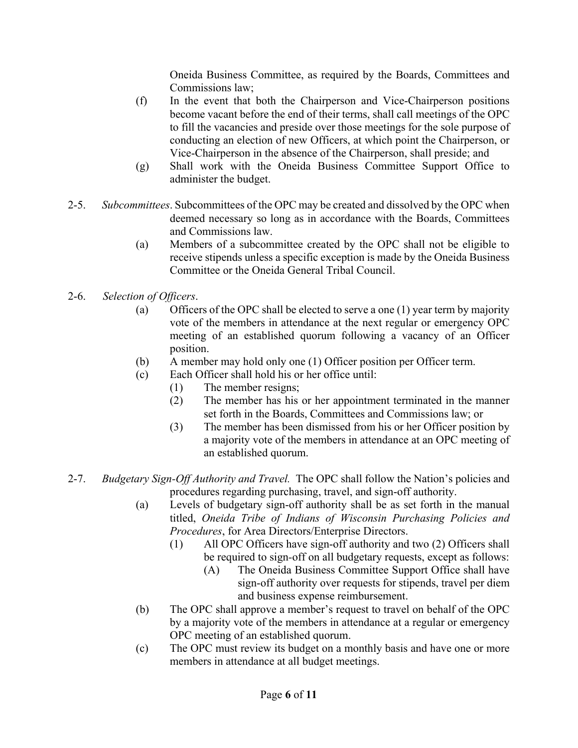Oneida Business Committee, as required by the Boards, Committees and Commissions law;

- (f) In the event that both the Chairperson and Vice-Chairperson positions become vacant before the end of their terms, shall call meetings of the OPC to fill the vacancies and preside over those meetings for the sole purpose of conducting an election of new Officers, at which point the Chairperson, or Vice-Chairperson in the absence of the Chairperson, shall preside; and
- (g) Shall work with the Oneida Business Committee Support Office to administer the budget.
- 2-5. *Subcommittees*. Subcommittees of the OPC may be created and dissolved by the OPC when deemed necessary so long as in accordance with the Boards, Committees and Commissions law.
	- (a) Members of a subcommittee created by the OPC shall not be eligible to receive stipends unless a specific exception is made by the Oneida Business Committee or the Oneida General Tribal Council.
- 2-6. *Selection of Officers*.
	- (a) Officers of the OPC shall be elected to serve a one (1) year term by majority vote of the members in attendance at the next regular or emergency OPC meeting of an established quorum following a vacancy of an Officer position.
	- (b) A member may hold only one (1) Officer position per Officer term.
	- (c) Each Officer shall hold his or her office until:
		- (1) The member resigns;
		- (2) The member has his or her appointment terminated in the manner set forth in the Boards, Committees and Commissions law; or
		- (3) The member has been dismissed from his or her Officer position by a majority vote of the members in attendance at an OPC meeting of an established quorum.
- 2-7. *Budgetary Sign-Off Authority and Travel.* The OPC shall follow the Nation's policies and procedures regarding purchasing, travel, and sign-off authority.
	- (a) Levels of budgetary sign-off authority shall be as set forth in the manual titled, *Oneida Tribe of Indians of Wisconsin Purchasing Policies and Procedures*, for Area Directors/Enterprise Directors.
		- (1) All OPC Officers have sign-off authority and two (2) Officers shall be required to sign*-*off on all budgetary requests, except as follows:
			- (A) The Oneida Business Committee Support Office shall have sign-off authority over requests for stipends, travel per diem and business expense reimbursement.
	- (b) The OPC shall approve a member's request to travel on behalf of the OPC by a majority vote of the members in attendance at a regular or emergency OPC meeting of an established quorum.
	- (c) The OPC must review its budget on a monthly basis and have one or more members in attendance at all budget meetings.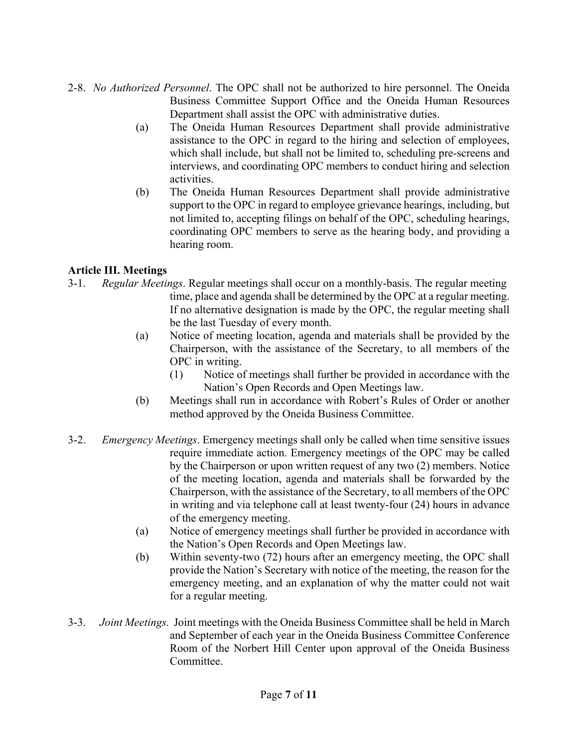- 2-8. *No Authorized Personnel*. The OPC shall not be authorized to hire personnel. The Oneida Business Committee Support Office and the Oneida Human Resources Department shall assist the OPC with administrative duties.
	- (a) The Oneida Human Resources Department shall provide administrative assistance to the OPC in regard to the hiring and selection of employees, which shall include, but shall not be limited to, scheduling pre-screens and interviews, and coordinating OPC members to conduct hiring and selection activities.
	- (b) The Oneida Human Resources Department shall provide administrative support to the OPC in regard to employee grievance hearings, including, but not limited to, accepting filings on behalf of the OPC, scheduling hearings, coordinating OPC members to serve as the hearing body, and providing a hearing room.

# **Article III. Meetings**

- 3-1. *Regular Meetings*. Regular meetings shall occur on a monthly-basis. The regular meeting time, place and agenda shall be determined by the OPC at a regular meeting. If no alternative designation is made by the OPC, the regular meeting shall be the last Tuesday of every month.
	- (a) Notice of meeting location, agenda and materials shall be provided by the Chairperson, with the assistance of the Secretary, to all members of the OPC in writing.
		- (1) Notice of meetings shall further be provided in accordance with the Nation's Open Records and Open Meetings law.
	- (b) Meetings shall run in accordance with Robert's Rules of Order or another method approved by the Oneida Business Committee.
- 3-2. *Emergency Meetings*. Emergency meetings shall only be called when time sensitive issues require immediate action. Emergency meetings of the OPC may be called by the Chairperson or upon written request of any two (2) members. Notice of the meeting location, agenda and materials shall be forwarded by the Chairperson, with the assistance of the Secretary, to all members of the OPC in writing and via telephone call at least twenty-four (24) hours in advance of the emergency meeting.
	- (a) Notice of emergency meetings shall further be provided in accordance with the Nation's Open Records and Open Meetings law.
	- (b) Within seventy-two (72) hours after an emergency meeting, the OPC shall provide the Nation's Secretary with notice of the meeting, the reason for the emergency meeting, and an explanation of why the matter could not wait for a regular meeting.
- 3-3. *Joint Meetings.* Joint meetings with the Oneida Business Committee shall be held in March and September of each year in the Oneida Business Committee Conference Room of the Norbert Hill Center upon approval of the Oneida Business **Committee**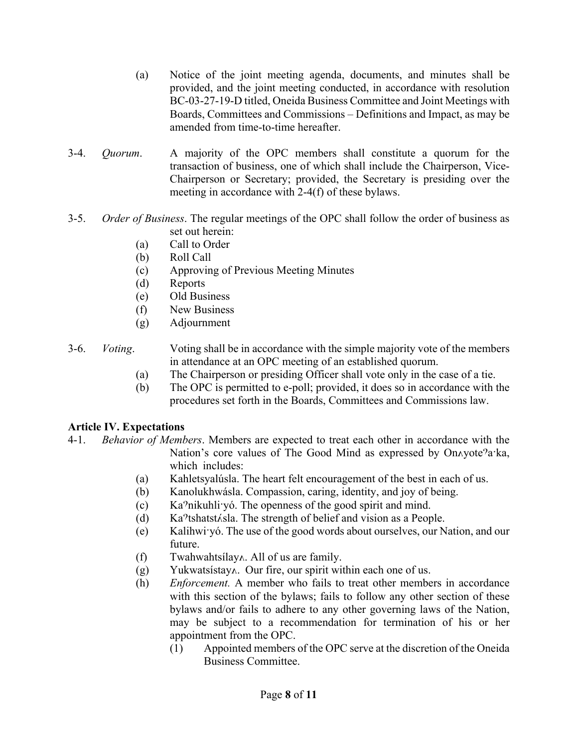- (a) Notice of the joint meeting agenda, documents, and minutes shall be provided, and the joint meeting conducted, in accordance with resolution BC-03-27-19-D titled, Oneida Business Committee and Joint Meetings with Boards, Committees and Commissions – Definitions and Impact, as may be amended from time-to-time hereafter.
- 3-4. *Quorum*. A majority of the OPC members shall constitute a quorum for the transaction of business, one of which shall include the Chairperson, Vice- Chairperson or Secretary; provided, the Secretary is presiding over the meeting in accordance with 2-4(f) of these bylaws.
- 3-5. *Order of Business*. The regular meetings of the OPC shall follow the order of business as set out herein:
	- (a) Call to Order
	- (b) Roll Call
	- (c) Approving of Previous Meeting Minutes
	- (d) Reports
	- (e) Old Business
	- (f) New Business
	- (g) Adjournment
- 3-6. *Voting*. Voting shall be in accordance with the simple majority vote of the members in attendance at an OPC meeting of an established quorum.
	- (a) The Chairperson or presiding Officer shall vote only in the case of a tie.
	- (b) The OPC is permitted to e-poll; provided, it does so in accordance with the procedures set forth in the Boards, Committees and Commissions law.

### **Article IV. Expectations**

- 4-1. *Behavior of Members*. Members are expected to treat each other in accordance with the Nation's core values of The Good Mind as expressed by On $\Lambda$ yote<sup>9</sup>a·ka, which includes:
	- (a) Kahletsyalúsla. The heart felt encouragement of the best in each of us.
	- (b) Kanolukhwásla. Compassion, caring, identity, and joy of being.
	- $(c)$  Ka<sup>2</sup>nikuhliv<sup>o</sup>. The openness of the good spirit and mind.
	- (d) Ka $\textdegree$ tshatst $\angle$ sla. The strength of belief and vision as a People.
	- (e) Kalihwi yó. The use of the good words about ourselves, our Nation, and our future.
	- $(f)$  Twahwahtsilay  $\Lambda$ . All of us are family.
	- $(g)$  Yukwatsistay $\lambda$ . Our fire, our spirit within each one of us.
	- (h) *Enforcement.* A member who fails to treat other members in accordance with this section of the bylaws; fails to follow any other section of these bylaws and/or fails to adhere to any other governing laws of the Nation, may be subject to a recommendation for termination of his or her appointment from the OPC.
		- (1) Appointed members of the OPC serve at the discretion of the Oneida Business Committee.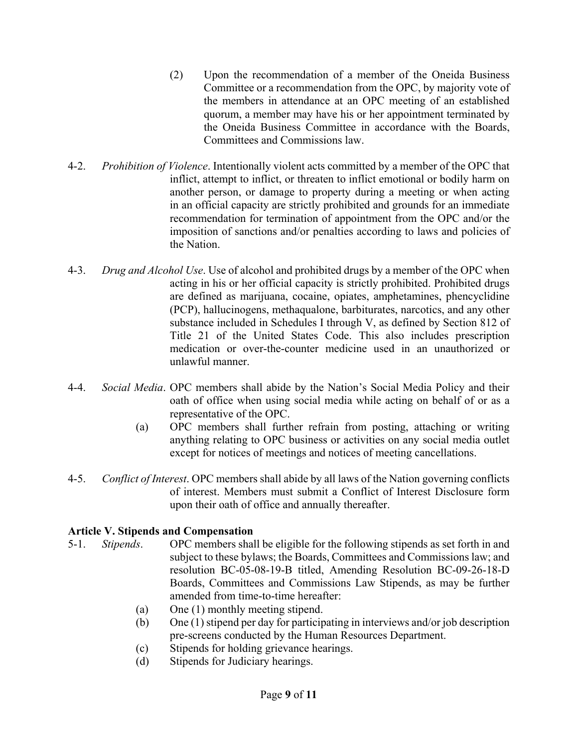- (2) Upon the recommendation of a member of the Oneida Business Committee or a recommendation from the OPC, by majority vote of the members in attendance at an OPC meeting of an established quorum, a member may have his or her appointment terminated by the Oneida Business Committee in accordance with the Boards, Committees and Commissions law.
- 4-2. *Prohibition of Violence*. Intentionally violent acts committed by a member of the OPC that inflict, attempt to inflict, or threaten to inflict emotional or bodily harm on another person, or damage to property during a meeting or when acting in an official capacity are strictly prohibited and grounds for an immediate recommendation for termination of appointment from the OPC and/or the imposition of sanctions and/or penalties according to laws and policies of the Nation.
- 4-3. *Drug and Alcohol Use*. Use of alcohol and prohibited drugs by a member of the OPC when acting in his or her official capacity is strictly prohibited. Prohibited drugs are defined as marijuana, cocaine, opiates, amphetamines, phencyclidine (PCP), hallucinogens, methaqualone, barbiturates, narcotics, and any other substance included in Schedules I through V, as defined by Section 812 of Title 21 of the United States Code. This also includes prescription medication or over-the-counter medicine used in an unauthorized or unlawful manner.
- 4-4. *Social Media*. OPC members shall abide by the Nation's Social Media Policy and their oath of office when using social media while acting on behalf of or as a representative of the OPC.
	- (a) OPC members shall further refrain from posting, attaching or writing anything relating to OPC business or activities on any social media outlet except for notices of meetings and notices of meeting cancellations.
- 4-5. *Conflict of Interest*. OPC members shall abide by all laws of the Nation governing conflicts of interest. Members must submit a Conflict of Interest Disclosure form upon their oath of office and annually thereafter.

### **Article V. Stipends and Compensation**

- 5-1. *Stipends*. OPC members shall be eligible for the following stipends as set forth in and subject to these bylaws; the Boards, Committees and Commissions law; and resolution BC-05-08-19-B titled, Amending Resolution BC-09-26-18-D Boards, Committees and Commissions Law Stipends, as may be further amended from time-to-time hereafter:
	- (a) One (1) monthly meeting stipend.
	- (b) One (1) stipend per day for participating in interviews and/or job description pre-screens conducted by the Human Resources Department.
	- (c) Stipends for holding grievance hearings.
	- (d) Stipends for Judiciary hearings.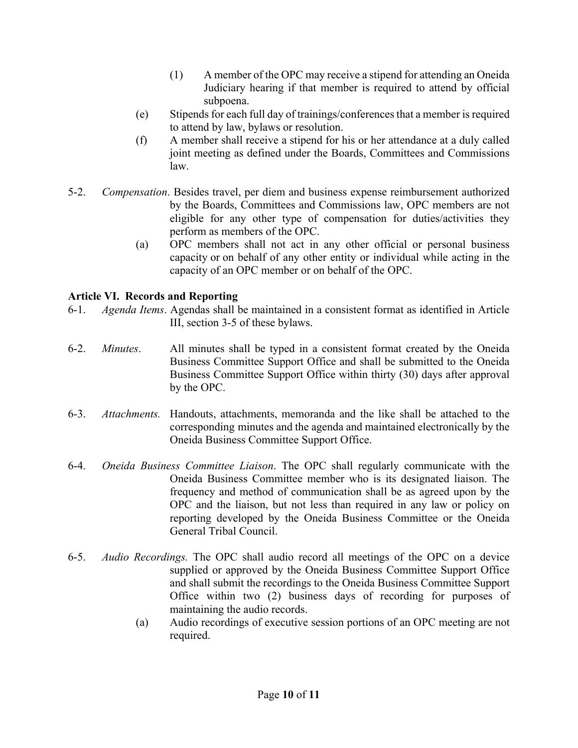- (1) A member of the OPC may receive a stipend for attending an Oneida Judiciary hearing if that member is required to attend by official subpoena.
- (e) Stipends for each full day of trainings/conferences that a member is required to attend by law, bylaws or resolution.
- (f) A member shall receive a stipend for his or her attendance at a duly called joint meeting as defined under the Boards, Committees and Commissions law.
- 5-2. *Compensation*. Besides travel, per diem and business expense reimbursement authorized by the Boards, Committees and Commissions law, OPC members are not eligible for any other type of compensation for duties/activities they perform as members of the OPC.
	- (a) OPC members shall not act in any other official or personal business capacity or on behalf of any other entity or individual while acting in the capacity of an OPC member or on behalf of the OPC.

# **Article VI. Records and Reporting**

- 6-1. *Agenda Items*. Agendas shall be maintained in a consistent format as identified in Article III, section 3-5 of these bylaws.
- 6-2. *Minutes*. All minutes shall be typed in a consistent format created by the Oneida Business Committee Support Office and shall be submitted to the Oneida Business Committee Support Office within thirty (30) days after approval by the OPC.
- 6-3. *Attachments.* Handouts, attachments, memoranda and the like shall be attached to the corresponding minutes and the agenda and maintained electronically by the Oneida Business Committee Support Office.
- 6-4. *Oneida Business Committee Liaison*. The OPC shall regularly communicate with the Oneida Business Committee member who is its designated liaison. The frequency and method of communication shall be as agreed upon by the OPC and the liaison, but not less than required in any law or policy on reporting developed by the Oneida Business Committee or the Oneida General Tribal Council.
- 6-5. *Audio Recordings.* The OPC shall audio record all meetings of the OPC on a device supplied or approved by the Oneida Business Committee Support Office and shall submit the recordings to the Oneida Business Committee Support Office within two (2) business days of recording for purposes of maintaining the audio records.
	- (a) Audio recordings of executive session portions of an OPC meeting are not required.